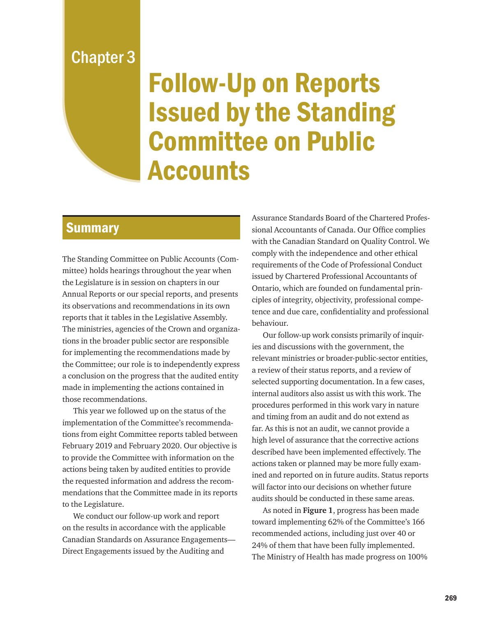## Chapter 3

## Follow-Up on Reports Issued by the Standing Committee on Public **Accounts**

## **Summary**

The Standing Committee on Public Accounts (Committee) holds hearings throughout the year when the Legislature is in session on chapters in our Annual Reports or our special reports, and presents its observations and recommendations in its own reports that it tables in the Legislative Assembly. The ministries, agencies of the Crown and organizations in the broader public sector are responsible for implementing the recommendations made by the Committee; our role is to independently express a conclusion on the progress that the audited entity made in implementing the actions contained in those recommendations.

This year we followed up on the status of the implementation of the Committee's recommendations from eight Committee reports tabled between February 2019 and February 2020. Our objective is to provide the Committee with information on the actions being taken by audited entities to provide the requested information and address the recommendations that the Committee made in its reports to the Legislature.

We conduct our follow-up work and report on the results in accordance with the applicable Canadian Standards on Assurance Engagements— Direct Engagements issued by the Auditing and

Assurance Standards Board of the Chartered Professional Accountants of Canada. Our Office complies with the Canadian Standard on Quality Control. We comply with the independence and other ethical requirements of the Code of Professional Conduct issued by Chartered Professional Accountants of Ontario, which are founded on fundamental principles of integrity, objectivity, professional competence and due care, confidentiality and professional behaviour.

Our follow-up work consists primarily of inquiries and discussions with the government, the relevant ministries or broader-public-sector entities, a review of their status reports, and a review of selected supporting documentation. In a few cases, internal auditors also assist us with this work. The procedures performed in this work vary in nature and timing from an audit and do not extend as far. As this is not an audit, we cannot provide a high level of assurance that the corrective actions described have been implemented effectively. The actions taken or planned may be more fully examined and reported on in future audits. Status reports will factor into our decisions on whether future audits should be conducted in these same areas.

As noted in **Figure 1**, progress has been made toward implementing 62% of the Committee's 166 recommended actions, including just over 40 or 24% of them that have been fully implemented. The Ministry of Health has made progress on 100%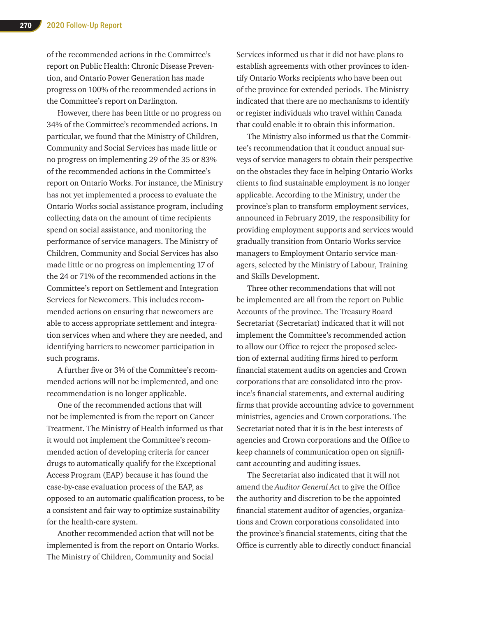of the recommended actions in the Committee's report on Public Health: Chronic Disease Prevention, and Ontario Power Generation has made progress on 100% of the recommended actions in the Committee's report on Darlington.

However, there has been little or no progress on 34% of the Committee's recommended actions. In particular, we found that the Ministry of Children, Community and Social Services has made little or no progress on implementing 29 of the 35 or 83% of the recommended actions in the Committee's report on Ontario Works. For instance, the Ministry has not yet implemented a process to evaluate the Ontario Works social assistance program, including collecting data on the amount of time recipients spend on social assistance, and monitoring the performance of service managers. The Ministry of Children, Community and Social Services has also made little or no progress on implementing 17 of the 24 or 71% of the recommended actions in the Committee's report on Settlement and Integration Services for Newcomers. This includes recommended actions on ensuring that newcomers are able to access appropriate settlement and integration services when and where they are needed, and identifying barriers to newcomer participation in such programs.

A further five or 3% of the Committee's recommended actions will not be implemented, and one recommendation is no longer applicable.

One of the recommended actions that will not be implemented is from the report on Cancer Treatment. The Ministry of Health informed us that it would not implement the Committee's recommended action of developing criteria for cancer drugs to automatically qualify for the Exceptional Access Program (EAP) because it has found the case-by-case evaluation process of the EAP, as opposed to an automatic qualification process, to be a consistent and fair way to optimize sustainability for the health-care system.

Another recommended action that will not be implemented is from the report on Ontario Works. The Ministry of Children, Community and Social

Services informed us that it did not have plans to establish agreements with other provinces to identify Ontario Works recipients who have been out of the province for extended periods. The Ministry indicated that there are no mechanisms to identify or register individuals who travel within Canada that could enable it to obtain this information.

The Ministry also informed us that the Committee's recommendation that it conduct annual surveys of service managers to obtain their perspective on the obstacles they face in helping Ontario Works clients to find sustainable employment is no longer applicable. According to the Ministry, under the province's plan to transform employment services, announced in February 2019, the responsibility for providing employment supports and services would gradually transition from Ontario Works service managers to Employment Ontario service managers, selected by the Ministry of Labour, Training and Skills Development.

Three other recommendations that will not be implemented are all from the report on Public Accounts of the province. The Treasury Board Secretariat (Secretariat) indicated that it will not implement the Committee's recommended action to allow our Office to reject the proposed selection of external auditing firms hired to perform financial statement audits on agencies and Crown corporations that are consolidated into the province's financial statements, and external auditing firms that provide accounting advice to government ministries, agencies and Crown corporations. The Secretariat noted that it is in the best interests of agencies and Crown corporations and the Office to keep channels of communication open on significant accounting and auditing issues.

The Secretariat also indicated that it will not amend the *Auditor General Act* to give the Office the authority and discretion to be the appointed financial statement auditor of agencies, organizations and Crown corporations consolidated into the province's financial statements, citing that the Office is currently able to directly conduct financial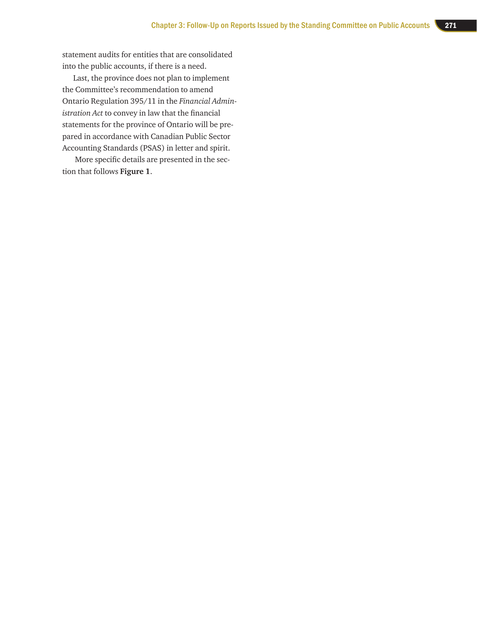statement audits for entities that are consolidated into the public accounts, if there is a need.

Last, the province does not plan to implement the Committee's recommendation to amend Ontario Regulation 395/11 in the *Financial Admin istration Act* to convey in law that the financial statements for the province of Ontario will be pre pared in accordance with Canadian Public Sector Accounting Standards (PSAS) in letter and spirit.

 More specific details are presented in the sec tion that follows **Figure 1** .